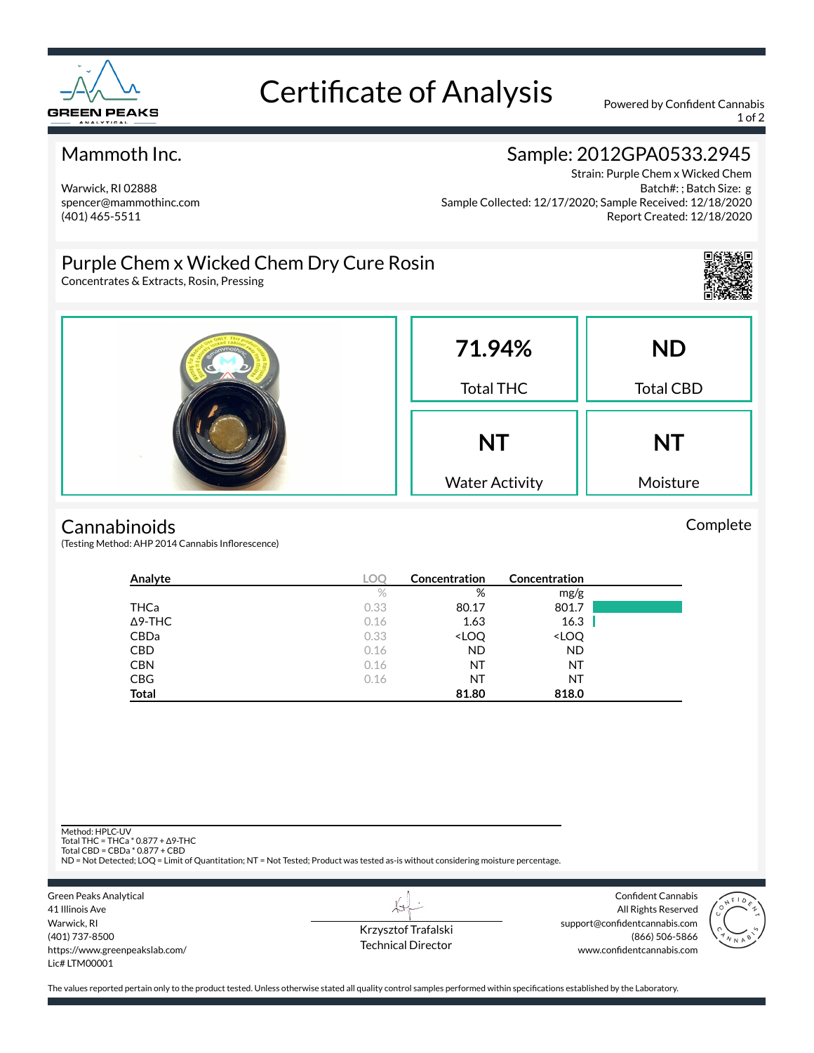

# Certificate of Analysis Powered by Confident Cannabis

1 of 2

### Mammoth Inc.

Warwick, RI 02888 spencer@mammothinc.com (401) 465-5511

## Sample: 2012GPA0533.2945

Strain: Purple Chem x Wicked Chem Batch#: ; Batch Size: g Sample Collected: 12/17/2020; Sample Received: 12/18/2020 Report Created: 12/18/2020

## Purple Chem x Wicked Chem Dry Cure Rosin

Concentrates & Extracts, Rosin, Pressing



Complete



#### **Cannabinoids**

(Testing Method: AHP 2014 Cannabis Inflorescence)

| Analyte        | LOC  | Concentration                                            | <b>Concentration</b>         |  |
|----------------|------|----------------------------------------------------------|------------------------------|--|
|                | $\%$ | %                                                        | mg/g                         |  |
| THCa           | 0.33 | 80.17                                                    | 801.7                        |  |
| $\Delta$ 9-THC | 0.16 | 1.63                                                     | 16.3                         |  |
| <b>CBDa</b>    | 0.33 | <loq< td=""><td><loq< td=""><td></td></loq<></td></loq<> | <loq< td=""><td></td></loq<> |  |
| <b>CBD</b>     | 0.16 | <b>ND</b>                                                | <b>ND</b>                    |  |
| <b>CBN</b>     | 0.16 | NT                                                       | NT                           |  |
| <b>CBG</b>     | 0.16 | NT                                                       | NT                           |  |
| <b>Total</b>   |      | 81.80                                                    | 818.0                        |  |

Method: HPLC-UV

Total THC = THCa \* 0.877 + ∆9-THC Total CBD = CBDa \* 0.877 + CBD

ND = Not Detected; LOQ = Limit of Quantitation; NT = Not Tested; Product was tested as-is without considering moisture percentage.



Krzysztof Trafalski Technical Director

L+

Confident Cannabis All Rights Reserved support@confidentcannabis.com (866) 506-5866 www.confidentcannabis.com



The values reported pertain only to the product tested. Unless otherwise stated all quality control samples performed within specifications established by the Laboratory.